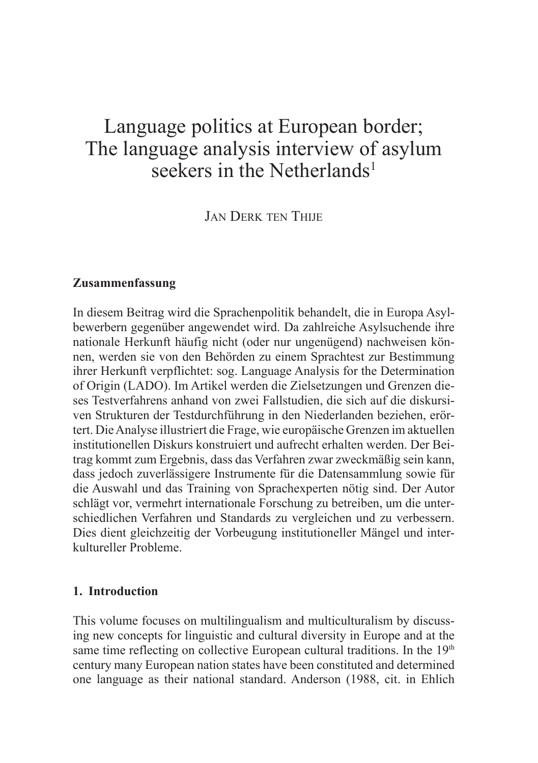# Language politics at European border; The language analysis interview of asylum seekers in the Netherlands<sup>1</sup>

**JAN DERK TEN THIJE** 

## **Zusammenfassung**

In diesem Beitrag wird die Sprachenpolitik behandelt, die in Europa Asylbewerbern gegenüber angewendet wird. Da zahlreiche Asylsuchende ihre nationale Herkunft häufig nicht (oder nur ungenügend) nachweisen können, werden sie von den Behörden zu einem Sprachtest zur Bestimmung ihrer Herkunft verpflichtet: sog. Language Analysis for the Determination of Origin (LADO). Im Artikel werden die Zielsetzungen und Grenzen dieses Testverfahrens anhand von zwei Fallstudien, die sich auf die diskursiven Strukturen der Testdurchführung in den Niederlanden beziehen, erörtert. Die Analyse illustriert die Frage, wie europäische Grenzen im aktuellen institutionellen Diskurs konstruiert und aufrecht erhalten werden. Der Beitrag kommt zum Ergebnis, dass das Verfahren zwar zweckmäßig sein kann, dass jedoch zuverlässigere Instrumente für die Datensammlung sowie für die Auswahl und das Training von Sprachexperten nötig sind. Der Autor schlägt vor, vermehrt internationale Forschung zu betreiben, um die unterschiedlichen Verfahren und Standards zu vergleichen und zu verbessern. Dies dient gleichzeitig der Vorbeugung institutioneller Mängel und interkultureller Probleme.

## **1. Introduction**

This volume focuses on multilingualism and multiculturalism by discussing new concepts for linguistic and cultural diversity in Europe and at the same time reflecting on collective European cultural traditions. In the 19<sup>th</sup> century many European nation states have been constituted and determined one language as their national standard. Anderson (1988, cit. in Ehlich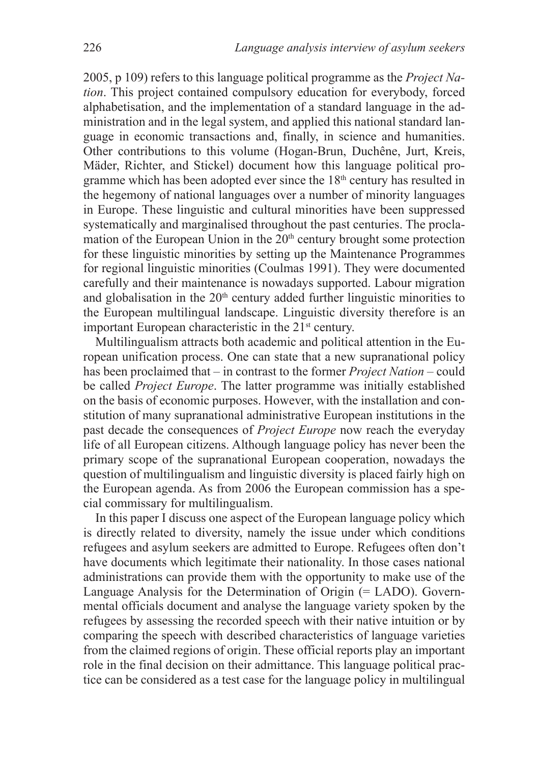2005, p 109) refers to this language political programme as the *Project Nation*. This project contained compulsory education for everybody, forced alphabetisation, and the implementation of a standard language in the administration and in the legal system, and applied this national standard language in economic transactions and, finally, in science and humanities. Other contributions to this volume (Hogan-Brun, Duchêne, Jurt, Kreis, Mäder, Richter, and Stickel) document how this language political programme which has been adopted ever since the 18th century has resulted in the hegemony of national languages over a number of minority languages in Europe. These linguistic and cultural minorities have been suppressed systematically and marginalised throughout the past centuries. The proclamation of the European Union in the  $20<sup>th</sup>$  century brought some protection for these linguistic minorities by setting up the Maintenance Programmes for regional linguistic minorities (Coulmas 1991). They were documented carefully and their maintenance is nowadays supported. Labour migration and globalisation in the  $20<sup>th</sup>$  century added further linguistic minorities to the European multilingual landscape. Linguistic diversity therefore is an important European characteristic in the 21<sup>st</sup> century.

Multilingualism attracts both academic and political attention in the European unification process. One can state that a new supranational policy has been proclaimed that – in contrast to the former *Project Nation –* could be called *Project Europe*. The latter programme was initially established on the basis of economic purposes. However, with the installation and constitution of many supranational administrative European institutions in the past decade the consequences of *Project Europe* now reach the everyday life of all European citizens. Although language policy has never been the primary scope of the supranational European cooperation, nowadays the question of multilingualism and linguistic diversity is placed fairly high on the European agenda. As from 2006 the European commission has a special commissary for multilingualism.

In this paper I discuss one aspect of the European language policy which is directly related to diversity, namely the issue under which conditions refugees and asylum seekers are admitted to Europe. Refugees often don't have documents which legitimate their nationality. In those cases national administrations can provide them with the opportunity to make use of the Language Analysis for the Determination of Origin (= LADO). Governmental officials document and analyse the language variety spoken by the refugees by assessing the recorded speech with their native intuition or by comparing the speech with described characteristics of language varieties from the claimed regions of origin. These official reports play an important role in the final decision on their admittance. This language political practice can be considered as a test case for the language policy in multilingual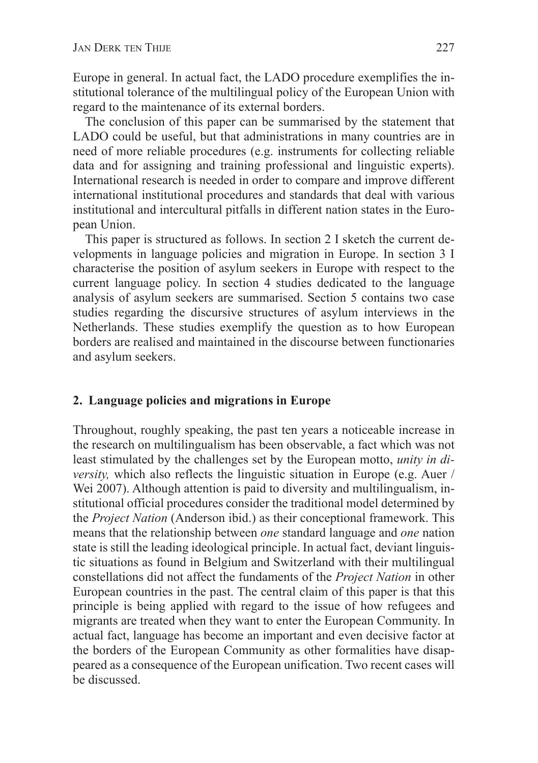Europe in general. In actual fact, the LADO procedure exemplifies the institutional tolerance of the multilingual policy of the European Union with regard to the maintenance of its external borders.

The conclusion of this paper can be summarised by the statement that LADO could be useful, but that administrations in many countries are in need of more reliable procedures (e.g. instruments for collecting reliable data and for assigning and training professional and linguistic experts). International research is needed in order to compare and improve different international institutional procedures and standards that deal with various institutional and intercultural pitfalls in different nation states in the European Union.

This paper is structured as follows. In section 2 I sketch the current developments in language policies and migration in Europe. In section 3 I characterise the position of asylum seekers in Europe with respect to the current language policy. In section 4 studies dedicated to the language analysis of asylum seekers are summarised. Section 5 contains two case studies regarding the discursive structures of asylum interviews in the Netherlands. These studies exemplify the question as to how European borders are realised and maintained in the discourse between functionaries and asylum seekers.

## **2. Language policies and migrations in Europe**

Throughout, roughly speaking, the past ten years a noticeable increase in the research on multilingualism has been observable, a fact which was not least stimulated by the challenges set by the European motto, *unity in diversity, which also reflects the linguistic situation in Europe (e.g. Auer / versity, which also reflects the linguistic situation in Europe (e.g. Auer /* Wei 2007). Although attention is paid to diversity and multilingualism, institutional official procedures consider the traditional model determined by the *Project Nation* (Anderson ibid.) as their conceptional framework. This means that the relationship between *one* standard language and *one* nation state is still the leading ideological principle. In actual fact, deviant linguistic situations as found in Belgium and Switzerland with their multilingual constellations did not affect the fundaments of the *Project Nation* in other European countries in the past. The central claim of this paper is that this principle is being applied with regard to the issue of how refugees and migrants are treated when they want to enter the European Community. In actual fact, language has become an important and even decisive factor at the borders of the European Community as other formalities have disappeared as a consequence of the European unification. Two recent cases will be discussed.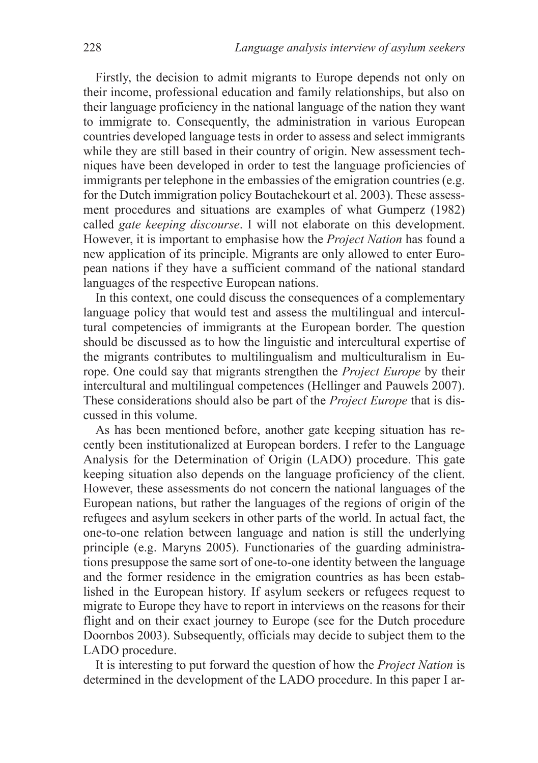Firstly, the decision to admit migrants to Europe depends not only on their income, professional education and family relationships, but also on their language proficiency in the national language of the nation they want to immigrate to. Consequently, the administration in various European countries developed language tests in order to assess and select immigrants while they are still based in their country of origin. New assessment techniques have been developed in order to test the language proficiencies of immigrants per telephone in the embassies of the emigration countries (e.g. for the Dutch immigration policy Boutachekourt et al. 2003). These assessment procedures and situations are examples of what Gumperz (1982) called *gate keeping discourse*. I will not elaborate on this development. However, it is important to emphasise how the *Project Nation* has found a new application of its principle. Migrants are only allowed to enter European nations if they have a sufficient command of the national standard languages of the respective European nations.

In this context, one could discuss the consequences of a complementary language policy that would test and assess the multilingual and intercultural competencies of immigrants at the European border. The question should be discussed as to how the linguistic and intercultural expertise of the migrants contributes to multilingualism and multiculturalism in Europe. One could say that migrants strengthen the *Project Europe* by their intercultural and multilingual competences (Hellinger and Pauwels 2007). These considerations should also be part of the *Project Europe* that is discussed in this volume.

As has been mentioned before, another gate keeping situation has recently been institutionalized at European borders. I refer to the Language Analysis for the Determination of Origin (LADO) procedure. This gate keeping situation also depends on the language proficiency of the client. However, these assessments do not concern the national languages of the European nations, but rather the languages of the regions of origin of the refugees and asylum seekers in other parts of the world. In actual fact, the one-to-one relation between language and nation is still the underlying principle (e.g. Maryns 2005). Functionaries of the guarding administrations presuppose the same sort of one-to-one identity between the language and the former residence in the emigration countries as has been established in the European history. If asylum seekers or refugees request to migrate to Europe they have to report in interviews on the reasons for their flight and on their exact journey to Europe (see for the Dutch procedure Doornbos 2003). Subsequently, officials may decide to subject them to the LADO procedure.

It is interesting to put forward the question of how the *Project Nation* is determined in the development of the LADO procedure. In this paper I ar-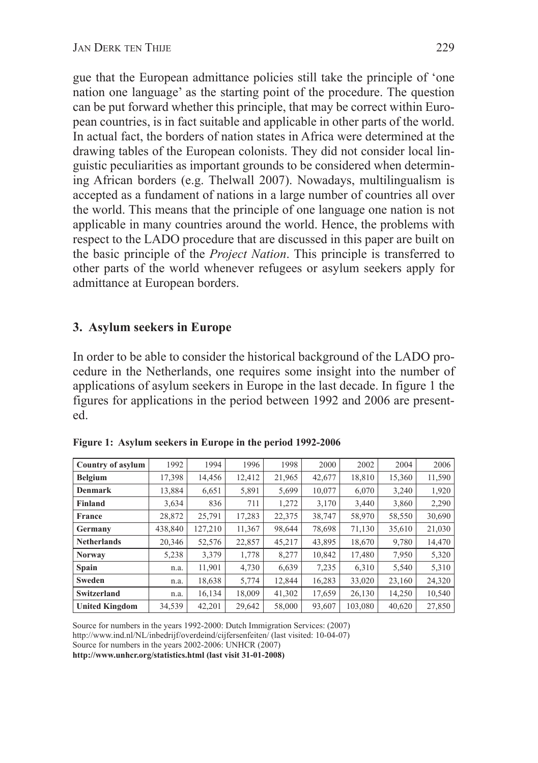gue that the European admittance policies still take the principle of 'one nation one language' as the starting point of the procedure. The question can be put forward whether this principle, that may be correct within European countries, is in fact suitable and applicable in other parts of the world. In actual fact, the borders of nation states in Africa were determined at the drawing tables of the European colonists. They did not consider local linguistic peculiarities as important grounds to be considered when determining African borders (e.g. Thelwall 2007). Nowadays, multilingualism is accepted as a fundament of nations in a large number of countries all over the world. This means that the principle of one language one nation is not applicable in many countries around the world. Hence, the problems with respect to the LADO procedure that are discussed in this paper are built on the basic principle of the *Project Nation*. This principle is transferred to other parts of the world whenever refugees or asylum seekers apply for admittance at European borders.

# **3. Asylum seekers in Europe**

In order to be able to consider the historical background of the LADO procedure in the Netherlands, one requires some insight into the number of applications of asylum seekers in Europe in the last decade. In figure 1 the figures for applications in the period between 1992 and 2006 are presented.

| Country of asylum     | 1992    | 1994    | 1996   | 1998   | 2000   | 2002    | 2004   | 2006   |
|-----------------------|---------|---------|--------|--------|--------|---------|--------|--------|
| Belgium               | 17,398  | 14,456  | 12,412 | 21,965 | 42,677 | 18,810  | 15,360 | 11,590 |
| <b>Denmark</b>        | 13.884  | 6,651   | 5,891  | 5,699  | 10,077 | 6,070   | 3,240  | 1,920  |
| <b>Finland</b>        | 3,634   | 836     | 711    | 1,272  | 3,170  | 3.440   | 3,860  | 2,290  |
| France                | 28.872  | 25.791  | 17,283 | 22,375 | 38,747 | 58,970  | 58,550 | 30,690 |
| Germany               | 438.840 | 127.210 | 11,367 | 98.644 | 78,698 | 71,130  | 35,610 | 21,030 |
| <b>Netherlands</b>    | 20,346  | 52,576  | 22,857 | 45,217 | 43,895 | 18,670  | 9,780  | 14,470 |
| <b>Norway</b>         | 5,238   | 3,379   | 1,778  | 8,277  | 10.842 | 17.480  | 7,950  | 5,320  |
| Spain                 | n.a.    | 11.901  | 4,730  | 6.639  | 7,235  | 6.310   | 5,540  | 5,310  |
| Sweden                | n.a.    | 18,638  | 5,774  | 12.844 | 16,283 | 33,020  | 23.160 | 24,320 |
| <b>Switzerland</b>    | n.a.    | 16,134  | 18.009 | 41,302 | 17.659 | 26,130  | 14.250 | 10,540 |
| <b>United Kingdom</b> | 34,539  | 42.201  | 29,642 | 58,000 | 93,607 | 103.080 | 40,620 | 27,850 |

|  |  |  |  | Figure 1: Asylum seekers in Europe in the period 1992-2006 |  |
|--|--|--|--|------------------------------------------------------------|--|
|--|--|--|--|------------------------------------------------------------|--|

Source for numbers in the years 1992-2000: Dutch Immigration Services: (2007) http://www.ind.nl/NL/inbedrijf/overdeind/cijfersenfeiten/ (last visited: 10-04-07) Source for numbers in the years 2002-2006: UNHCR (2007)

**http://www.unhcr.org/statistics.html (last visit 31-01-2008)**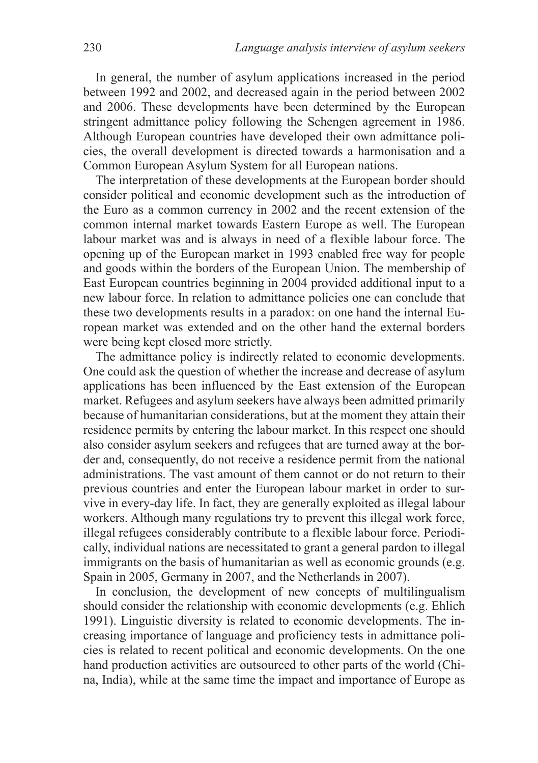In general, the number of asylum applications increased in the period between 1992 and 2002, and decreased again in the period between 2002 and 2006. These developments have been determined by the European stringent admittance policy following the Schengen agreement in 1986. Although European countries have developed their own admittance policies, the overall development is directed towards a harmonisation and a Common European Asylum System for all European nations.

The interpretation of these developments at the European border should consider political and economic development such as the introduction of the Euro as a common currency in 2002 and the recent extension of the common internal market towards Eastern Europe as well. The European labour market was and is always in need of a flexible labour force. The opening up of the European market in 1993 enabled free way for people and goods within the borders of the European Union. The membership of East European countries beginning in 2004 provided additional input to a new labour force. In relation to admittance policies one can conclude that these two developments results in a paradox: on one hand the internal European market was extended and on the other hand the external borders were being kept closed more strictly.

The admittance policy is indirectly related to economic developments. One could ask the question of whether the increase and decrease of asylum applications has been influenced by the East extension of the European market. Refugees and asylum seekers have always been admitted primarily because of humanitarian considerations, but at the moment they attain their residence permits by entering the labour market. In this respect one should also consider asylum seekers and refugees that are turned away at the border and, consequently, do not receive a residence permit from the national administrations. The vast amount of them cannot or do not return to their previous countries and enter the European labour market in order to survive in every-day life. In fact, they are generally exploited as illegal labour workers. Although many regulations try to prevent this illegal work force, illegal refugees considerably contribute to a flexible labour force. Periodically, individual nations are necessitated to grant a general pardon to illegal immigrants on the basis of humanitarian as well as economic grounds (e.g. Spain in 2005, Germany in 2007, and the Netherlands in 2007).

In conclusion, the development of new concepts of multilingualism should consider the relationship with economic developments (e.g. Ehlich 1991). Linguistic diversity is related to economic developments. The increasing importance of language and proficiency tests in admittance policies is related to recent political and economic developments. On the one hand production activities are outsourced to other parts of the world (China, India), while at the same time the impact and importance of Europe as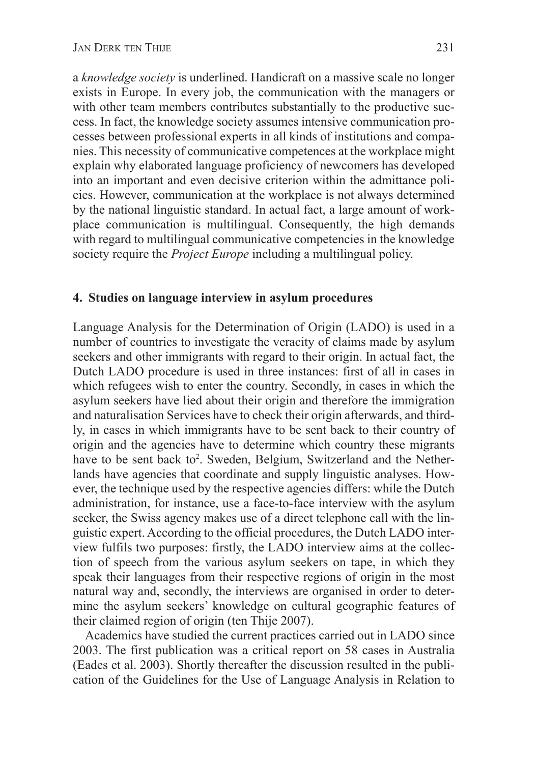a *knowledge society* is underlined. Handicraft on a massive scale no longer exists in Europe. In every job, the communication with the managers or with other team members contributes substantially to the productive success. In fact, the knowledge society assumes intensive communication processes between professional experts in all kinds of institutions and companies. This necessity of communicative competences at the workplace might explain why elaborated language proficiency of newcomers has developed into an important and even decisive criterion within the admittance policies. However, communication at the workplace is not always determined by the national linguistic standard. In actual fact, a large amount of workplace communication is multilingual. Consequently, the high demands with regard to multilingual communicative competencies in the knowledge society require the *Project Europe* including a multilingual policy.

# **4. Studies on language interview in asylum procedures**

Language Analysis for the Determination of Origin (LADO) is used in a number of countries to investigate the veracity of claims made by asylum seekers and other immigrants with regard to their origin. In actual fact, the Dutch LADO procedure is used in three instances: first of all in cases in which refugees wish to enter the country. Secondly, in cases in which the asylum seekers have lied about their origin and therefore the immigration and naturalisation Services have to check their origin afterwards, and thirdly, in cases in which immigrants have to be sent back to their country of origin and the agencies have to determine which country these migrants have to be sent back to<sup>2</sup>. Sweden, Belgium, Switzerland and the Netherlands have agencies that coordinate and supply linguistic analyses. However, the technique used by the respective agencies differs: while the Dutch administration, for instance, use a face-to-face interview with the asylum seeker, the Swiss agency makes use of a direct telephone call with the linguistic expert. According to the official procedures, the Dutch LADO interview fulfils two purposes: firstly, the LADO interview aims at the collection of speech from the various asylum seekers on tape, in which they speak their languages from their respective regions of origin in the most natural way and, secondly, the interviews are organised in order to determine the asylum seekers' knowledge on cultural geographic features of their claimed region of origin (ten Thije 2007).

Academics have studied the current practices carried out in LADO since 2003. The first publication was a critical report on 58 cases in Australia (Eades et al. 2003). Shortly thereafter the discussion resulted in the publication of the Guidelines for the Use of Language Analysis in Relation to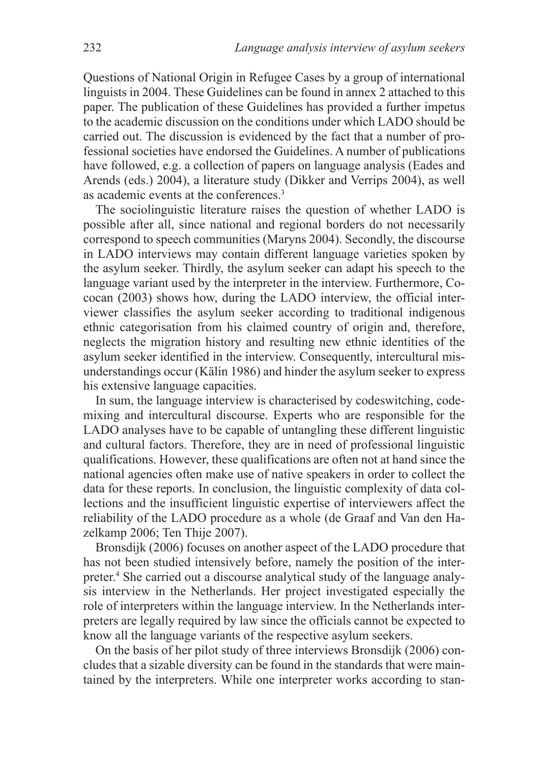Questions of National Origin in Refugee Cases by a group of international linguists in 2004. These Guidelines can be found in annex 2 attached to this paper. The publication of these Guidelines has provided a further impetus to the academic discussion on the conditions under which LADO should be carried out. The discussion is evidenced by the fact that a number of professional societies have endorsed the Guidelines. A number of publications have followed, e.g. a collection of papers on language analysis (Eades and Arends (eds.) 2004), a literature study (Dikker and Verrips 2004), as well as academic events at the conferences.3

The sociolinguistic literature raises the question of whether LADO is possible after all, since national and regional borders do not necessarily correspond to speech communities (Maryns 2004). Secondly, the discourse in LADO interviews may contain different language varieties spoken by the asylum seeker. Thirdly, the asylum seeker can adapt his speech to the language variant used by the interpreter in the interview. Furthermore, Cococan (2003) shows how, during the LADO interview, the official interviewer classifies the asylum seeker according to traditional indigenous ethnic categorisation from his claimed country of origin and, therefore, neglects the migration history and resulting new ethnic identities of the asylum seeker identified in the interview. Consequently, intercultural misunderstandings occur (Kälin 1986) and hinder the asylum seeker to express his extensive language capacities.

In sum, the language interview is characterised by codeswitching, codemixing and intercultural discourse. Experts who are responsible for the LADO analyses have to be capable of untangling these different linguistic and cultural factors. Therefore, they are in need of professional linguistic qualifications. However, these qualifications are often not at hand since the national agencies often make use of native speakers in order to collect the data for these reports. In conclusion, the linguistic complexity of data collections and the insufficient linguistic expertise of interviewers affect the reliability of the LADO procedure as a whole (de Graaf and Van den Hazelkamp 2006; Ten Thije 2007).

Bronsdijk (2006) focuses on another aspect of the LADO procedure that has not been studied intensively before, namely the position of the interpreter.4 She carried out a discourse analytical study of the language analysis interview in the Netherlands. Her project investigated especially the role of interpreters within the language interview. In the Netherlands interpreters are legally required by law since the officials cannot be expected to know all the language variants of the respective asylum seekers.

On the basis of her pilot study of three interviews Bronsdijk (2006) concludes that a sizable diversity can be found in the standards that were maintained by the interpreters. While one interpreter works according to stan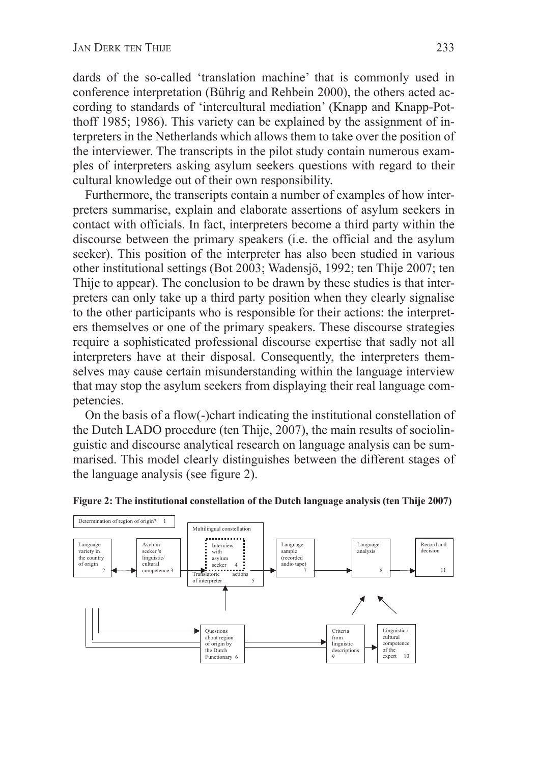dards of the so-called 'translation machine' that is commonly used in conference interpretation (Bührig and Rehbein 2000), the others acted according to standards of 'intercultural mediation' (Knapp and Knapp-Potthoff 1985; 1986). This variety can be explained by the assignment of interpreters in the Netherlands which allows them to take over the position of the interviewer. The transcripts in the pilot study contain numerous examples of interpreters asking asylum seekers questions with regard to their cultural knowledge out of their own responsibility.

Furthermore, the transcripts contain a number of examples of how interpreters summarise, explain and elaborate assertions of asylum seekers in contact with officials. In fact, interpreters become a third party within the discourse between the primary speakers (i.e. the official and the asylum seeker). This position of the interpreter has also been studied in various other institutional settings (Bot 2003; Wadensjö, 1992; ten Thije 2007; ten Thije to appear). The conclusion to be drawn by these studies is that interpreters can only take up a third party position when they clearly signalise to the other participants who is responsible for their actions: the interpreters themselves or one of the primary speakers. These discourse strategies require a sophisticated professional discourse expertise that sadly not all interpreters have at their disposal. Consequently, the interpreters themselves may cause certain misunderstanding within the language interview that may stop the asylum seekers from displaying their real language competencies.

On the basis of a flow(-)chart indicating the institutional constellation of the Dutch LADO procedure (ten Thije, 2007), the main results of sociolinguistic and discourse analytical research on language analysis can be summarised. This model clearly distinguishes between the different stages of the language analysis (see figure 2).



**Figure 2: The institutional constellation of the Dutch language analysis (ten Thije 2007) Figure 2: The institutional constellation of the Dutch language analysis (ten Thije 2007)**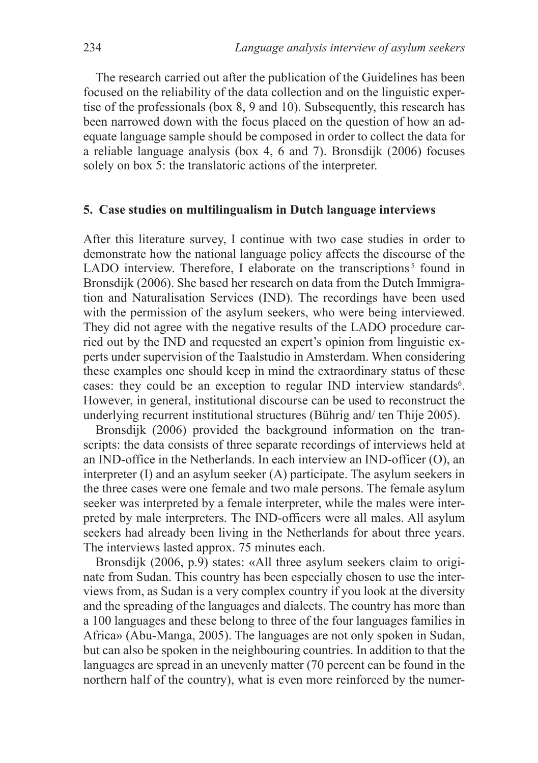The research carried out after the publication of the Guidelines has been focused on the reliability of the data collection and on the linguistic expertise of the professionals (box 8, 9 and 10). Subsequently, this research has been narrowed down with the focus placed on the question of how an adequate language sample should be composed in order to collect the data for a reliable language analysis (box 4, 6 and 7). Bronsdijk (2006) focuses solely on box 5: the translatoric actions of the interpreter.

#### **5. Case studies on multilingualism in Dutch language interviews**

After this literature survey, I continue with two case studies in order to demonstrate how the national language policy affects the discourse of the LADO interview. Therefore, I elaborate on the transcriptions<sup>5</sup> found in Bronsdijk (2006). She based her research on data from the Dutch Immigration and Naturalisation Services (IND). The recordings have been used with the permission of the asylum seekers, who were being interviewed. They did not agree with the negative results of the LADO procedure carried out by the IND and requested an expert's opinion from linguistic experts under supervision of the Taalstudio in Amsterdam. When considering these examples one should keep in mind the extraordinary status of these cases: they could be an exception to regular IND interview standards<sup>6</sup>. However, in general, institutional discourse can be used to reconstruct the underlying recurrent institutional structures (Bührig and/ ten Thije 2005).

Bronsdijk (2006) provided the background information on the transcripts: the data consists of three separate recordings of interviews held at an IND-office in the Netherlands. In each interview an IND-officer (O), an interpreter (I) and an asylum seeker (A) participate. The asylum seekers in the three cases were one female and two male persons. The female asylum seeker was interpreted by a female interpreter, while the males were interpreted by male interpreters. The IND-officers were all males. All asylum seekers had already been living in the Netherlands for about three years. The interviews lasted approx. 75 minutes each.

Bronsdijk (2006, p.9) states: «All three asylum seekers claim to originate from Sudan. This country has been especially chosen to use the interviews from, as Sudan is a very complex country if you look at the diversity and the spreading of the languages and dialects. The country has more than a 100 languages and these belong to three of the four languages families in Africa» (Abu-Manga, 2005). The languages are not only spoken in Sudan, but can also be spoken in the neighbouring countries. In addition to that the languages are spread in an unevenly matter (70 percent can be found in the northern half of the country), what is even more reinforced by the numer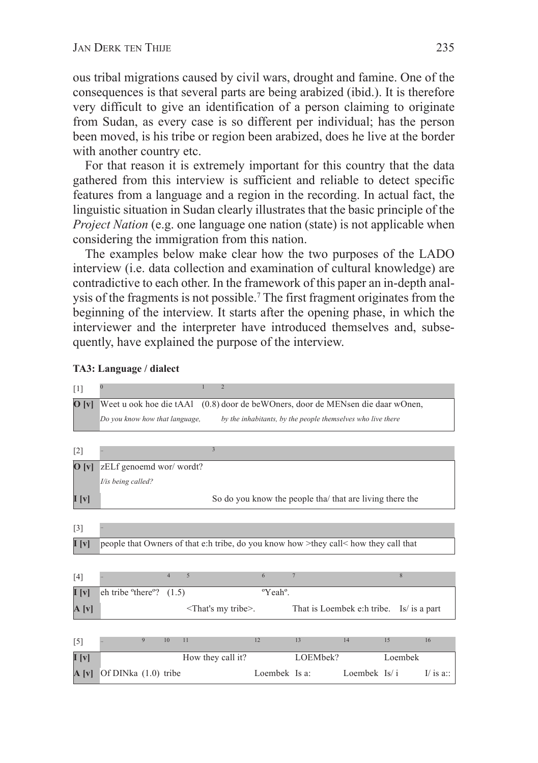ous tribal migrations caused by civil wars, drought and famine. One of the consequences is that several parts are being arabized (ibid.). It is therefore very difficult to give an identification of a person claiming to originate from Sudan, as every case is so different per individual; has the person been moved, is his tribe or region been arabized, does he live at the border with another country etc.

For that reason it is extremely important for this country that the data gathered from this interview is sufficient and reliable to detect specific features from a language and a region in the recording. In actual fact, the linguistic situation in Sudan clearly illustrates that the basic principle of the *Project Nation* (e.g. one language one nation (state) is not applicable when considering the immigration from this nation.

The examples below make clear how the two purposes of the LADO interview (i.e. data collection and examination of cultural knowledge) are contradictive to each other. In the framework of this paper an in-depth analysis of the fragments is not possible.7 The first fragment originates from the beginning of the interview. It starts after the opening phase, in which the interviewer and the interpreter have introduced themselves and, subsequently, have explained the purpose of the interview.

**TA3: Language / dialect**

| [1]                         | $\mathbf{0}$                                                                         |                     |                   | $\overline{2}$                    |               |                                                             |              |             |             |
|-----------------------------|--------------------------------------------------------------------------------------|---------------------|-------------------|-----------------------------------|---------------|-------------------------------------------------------------|--------------|-------------|-------------|
| O[v]                        | Weet u ook hoe die tAAl (0.8) door de beWOners, door de MENsen die daar wOnen,       |                     |                   |                                   |               |                                                             |              |             |             |
|                             | Do you know how that language,                                                       |                     |                   |                                   |               | by the inhabitants, by the people themselves who live there |              |             |             |
|                             |                                                                                      |                     |                   |                                   |               |                                                             |              |             |             |
| $\lceil 2 \rceil$           |                                                                                      |                     | 3                 |                                   |               |                                                             |              |             |             |
| O[v]                        | zELf genoemd wor/wordt?                                                              |                     |                   |                                   |               |                                                             |              |             |             |
|                             | I/is being called?                                                                   |                     |                   |                                   |               |                                                             |              |             |             |
| $\mathbf{I}$ $[\mathbf{v}]$ |                                                                                      |                     |                   |                                   |               | So do you know the people tha/ that are living there the    |              |             |             |
|                             |                                                                                      |                     |                   |                                   |               |                                                             |              |             |             |
| $\lceil 3 \rceil$           |                                                                                      |                     |                   |                                   |               |                                                             |              |             |             |
| $\mathbf{I}$ $[\mathbf{v}]$ | people that Owners of that e:h tribe, do you know how >they call< how they call that |                     |                   |                                   |               |                                                             |              |             |             |
|                             |                                                                                      |                     |                   |                                   |               |                                                             |              |             |             |
| [4]                         |                                                                                      | $\overline{4}$<br>5 |                   |                                   | 6             | $\overline{7}$                                              |              | $\,$ 8 $\,$ |             |
| I[v]                        | eh tribe <sup>o</sup> there <sup>o</sup> ?                                           | (1.5)               |                   |                                   | "Yeah".       |                                                             |              |             |             |
| A[v]                        |                                                                                      |                     |                   | <that's my="" tribe="">.</that's> |               | That is Loembek e:h tribe. Is is a part                     |              |             |             |
|                             |                                                                                      |                     |                   |                                   |               |                                                             |              |             |             |
| $\lceil 5 \rceil$           | 9                                                                                    | 11<br>10            |                   |                                   | 12            | 13                                                          | 14           | 15          | 16          |
| $\mathbf{I}$ $[\mathbf{v}]$ |                                                                                      |                     | How they call it? |                                   |               | LOEMbek?                                                    |              | Loembek     |             |
| A [v]                       | Of DINka (1.0) tribe                                                                 |                     |                   |                                   | Loembek Is a: |                                                             | Loembek Is/i |             | $I/$ is a:: |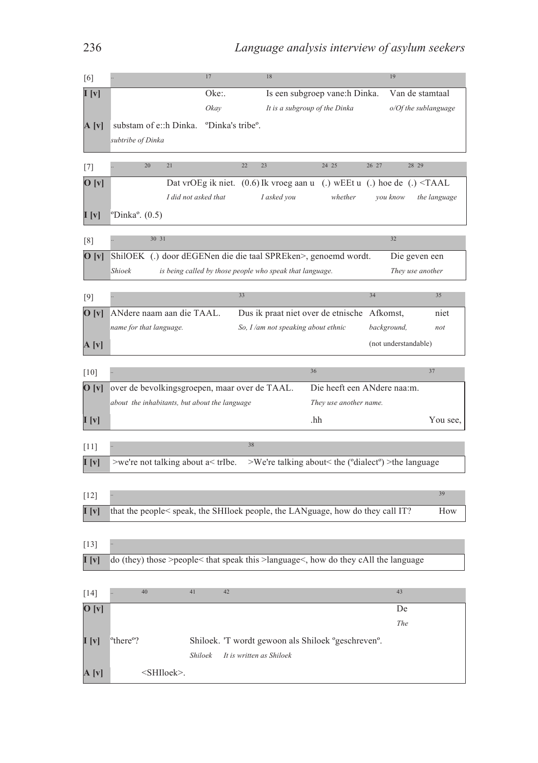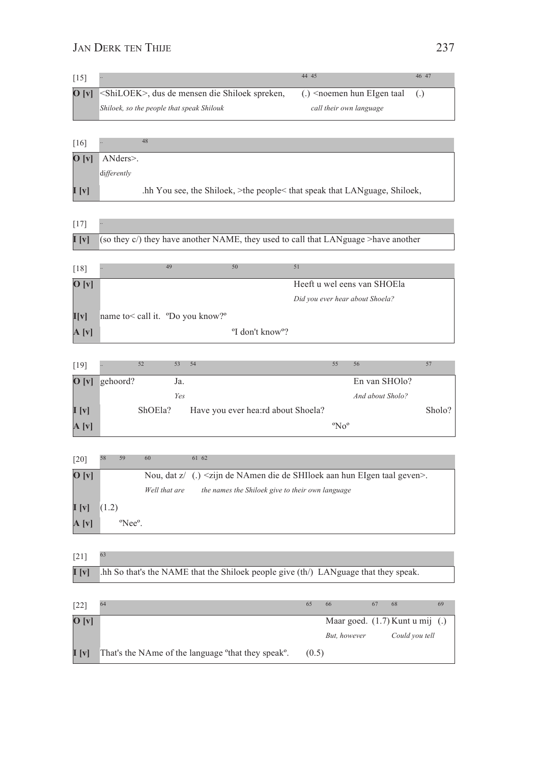## **J**AN DERK TEN THIJE 237

| $[15]$                       |                                                                                     | 44 45                                                                                       | 46 47             |
|------------------------------|-------------------------------------------------------------------------------------|---------------------------------------------------------------------------------------------|-------------------|
| O[v]                         | <shiloek>, dus de mensen die Shiloek spreken,</shiloek>                             | (.) <noemen eigen="" hun="" taal<="" th=""><th><math>\left( .\right)</math></th></noemen>   | $\left( .\right)$ |
|                              | Shiloek, so the people that speak Shilouk                                           | call their own language                                                                     |                   |
|                              |                                                                                     |                                                                                             |                   |
| $[16]$                       | 48                                                                                  |                                                                                             |                   |
| O[v]                         | ANders>.                                                                            |                                                                                             |                   |
|                              | differently                                                                         |                                                                                             |                   |
|                              |                                                                                     |                                                                                             |                   |
| $\mathbf{I}$ $\mathbf{[v]}$  | hh You see, the Shiloek, >the people< that speak that LANguage, Shiloek,            |                                                                                             |                   |
|                              |                                                                                     |                                                                                             |                   |
| $[17]$                       |                                                                                     |                                                                                             |                   |
| $\mathbf{I}$ $[\mathbf{v}]$  | (so they c/) they have another NAME, they used to call that LANguage >have another  |                                                                                             |                   |
|                              |                                                                                     |                                                                                             |                   |
| $[18]$                       | 49<br>50                                                                            | 51                                                                                          |                   |
| 0  v                         |                                                                                     | Heeft u wel eens van SHOEla                                                                 |                   |
|                              |                                                                                     | Did you ever hear about Shoela?                                                             |                   |
| $\mathbf{I}[\mathbf{v}]$     | name to< call it. <sup>o</sup> Do you know? <sup>o</sup>                            |                                                                                             |                   |
| A [v]                        | <sup>o</sup> I don't know <sup>o</sup> ?                                            |                                                                                             |                   |
|                              |                                                                                     |                                                                                             |                   |
| $[19]$                       | 52<br>54<br>53                                                                      | 55<br>56                                                                                    | 57                |
| 0  v                         | gehoord?<br>Ja.                                                                     | En van SHOlo?                                                                               |                   |
|                              | Yes                                                                                 | And about Sholo?                                                                            |                   |
| I [v]                        | ShOEla?<br>Have you ever hea:rd about Shoela?                                       |                                                                                             | Sholo?            |
| A  v                         |                                                                                     | $\rm o^{\circ} No^{\circ}$                                                                  |                   |
|                              |                                                                                     |                                                                                             |                   |
| $[20]$                       | 61 62<br>58<br>59<br>60                                                             |                                                                                             |                   |
| 0  v                         | Nou, dat $z/$                                                                       | (.) <zijn aan="" de="" die="" eigen="" geven="" hun="" namen="" shiioek="" taal="">.</zijn> |                   |
|                              | Well that are<br>the names the Shiloek give to their own language                   |                                                                                             |                   |
|                              |                                                                                     |                                                                                             |                   |
| I[V]                         | (1.2)                                                                               |                                                                                             |                   |
| A [v]                        | <sup>o</sup> Nee <sup>o</sup> .                                                     |                                                                                             |                   |
|                              |                                                                                     |                                                                                             |                   |
| $[21]$                       | 63                                                                                  |                                                                                             |                   |
| $\mathbf{I} \; [\mathbf{v}]$ | .hh So that's the NAME that the Shiloek people give (th/) LANguage that they speak. |                                                                                             |                   |
|                              |                                                                                     |                                                                                             |                   |
| $[22]$                       | 64                                                                                  | 68<br>65<br>66<br>67                                                                        | 69                |
| O[v]                         |                                                                                     | Maar goed. (1.7) Kunt u mij                                                                 | $\left( .\right)$ |
|                              |                                                                                     | But, however                                                                                | Could you tell    |
| $\mathbf{I} \mathbf{[v]}$    | That's the NAme of the language <sup>o</sup> that they speak <sup>o</sup> .         | (0.5)                                                                                       |                   |
|                              |                                                                                     |                                                                                             |                   |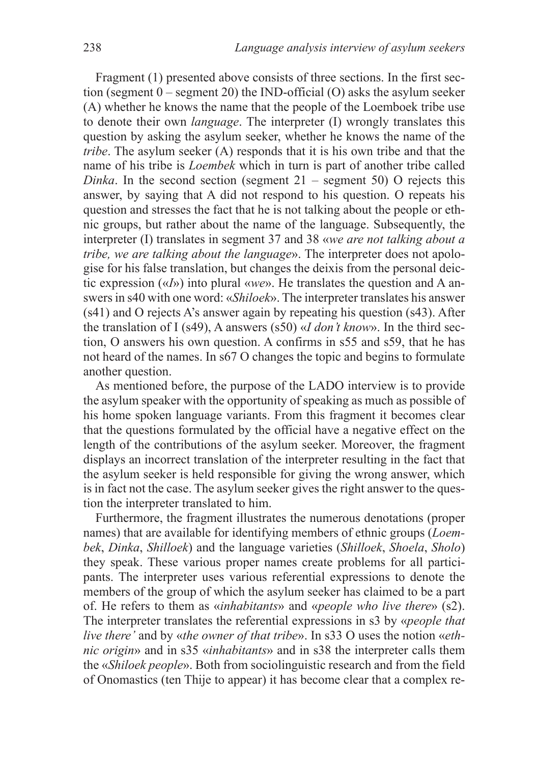Fragment (1) presented above consists of three sections. In the first section (segment 0 – segment 20) the IND-official (O) asks the asylum seeker (A) whether he knows the name that the people of the Loemboek tribe use to denote their own *language*. The interpreter (I) wrongly translates this question by asking the asylum seeker, whether he knows the name of the *tribe*. The asylum seeker (A) responds that it is his own tribe and that the name of his tribe is *Loembek* which in turn is part of another tribe called *Dinka*. In the second section (segment  $21$  – segment 50) O rejects this answer, by saying that A did not respond to his question. O repeats his question and stresses the fact that he is not talking about the people or ethnic groups, but rather about the name of the language. Subsequently, the interpreter (I) translates in segment 37 and 38 «*we are not talking about a tribe, we are talking about the language*». The interpreter does not apologise for his false translation, but changes the deixis from the personal deictic expression («*I*») into plural «*we*». He translates the question and A answers in s40 with one word: «*Shiloek*». The interpreter translates his answer (s41) and O rejects A's answer again by repeating his question (s43). After the translation of I (s49), A answers (s50) «*I don't know*». In the third section, O answers his own question. A confirms in s55 and s59, that he has not heard of the names. In s67 O changes the topic and begins to formulate another question.

As mentioned before, the purpose of the LADO interview is to provide the asylum speaker with the opportunity of speaking as much as possible of his home spoken language variants. From this fragment it becomes clear that the questions formulated by the official have a negative effect on the length of the contributions of the asylum seeker. Moreover, the fragment displays an incorrect translation of the interpreter resulting in the fact that the asylum seeker is held responsible for giving the wrong answer, which is in fact not the case. The asylum seeker gives the right answer to the question the interpreter translated to him.

Furthermore, the fragment illustrates the numerous denotations (proper names) that are available for identifying members of ethnic groups (*Loembek*, *Dinka*, *Shilloek*) and the language varieties (*Shilloek*, *Shoela*, *Sholo*) they speak. These various proper names create problems for all participants. The interpreter uses various referential expressions to denote the members of the group of which the asylum seeker has claimed to be a part of. He refers to them as «*inhabitants*» and «*people who live there*» (s2). The interpreter translates the referential expressions in s3 by «*people that live there'* and by «*the owner of that tribe*». In s33 O uses the notion «*ethnic origin*» and in s35 «*inhabitants*» and in s38 the interpreter calls them the «*Shiloek people*». Both from sociolinguistic research and from the field of Onomastics (ten Thije to appear) it has become clear that a complex re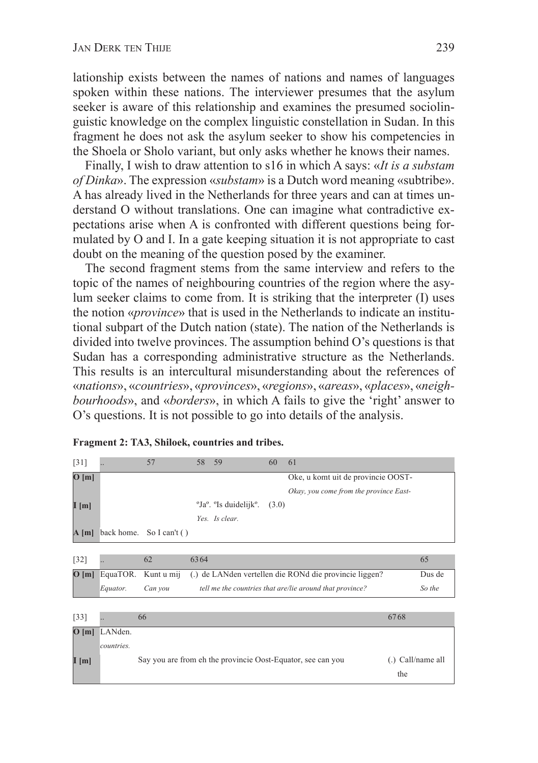lationship exists between the names of nations and names of languages spoken within these nations. The interviewer presumes that the asylum seeker is aware of this relationship and examines the presumed sociolinguistic knowledge on the complex linguistic constellation in Sudan. In this fragment he does not ask the asylum seeker to show his competencies in the Shoela or Sholo variant, but only asks whether he knows their names.

Finally, I wish to draw attention to s16 in which A says: «*It is a substam of Dinka*». The expression «*substam*» is a Dutch word meaning «subtribe». A has already lived in the Netherlands for three years and can at times understand O without translations. One can imagine what contradictive expectations arise when A is confronted with different questions being formulated by O and I. In a gate keeping situation it is not appropriate to cast doubt on the meaning of the question posed by the examiner.

The second fragment stems from the same interview and refers to the topic of the names of neighbouring countries of the region where the asylum seeker claims to come from. It is striking that the interpreter (I) uses the notion «*province*» that is used in the Netherlands to indicate an institutional subpart of the Dutch nation (state). The nation of the Netherlands is divided into twelve provinces. The assumption behind O's questions is that Sudan has a corresponding administrative structure as the Netherlands. This results is an intercultural misunderstanding about the references of «*nations*», «*countries*», «*provinces*», «*regions*», «*areas*», «*places*», «*neighbourhoods*», and «*borders*», in which A fails to give the 'right' answer to O's questions. It is not possible to go into details of the analysis.

| $[31]$           |            | 57              | 58   | 59                                                                      | 60    | 61                                                          |                   |
|------------------|------------|-----------------|------|-------------------------------------------------------------------------|-------|-------------------------------------------------------------|-------------------|
| O[m]             |            |                 |      |                                                                         |       | Oke, u komt uit de provincie OOST-                          |                   |
|                  |            |                 |      |                                                                         |       | Okay, you come from the province East-                      |                   |
| $I$ [m]          |            |                 |      | <sup>o</sup> Ja <sup>o</sup> . <sup>o</sup> Is duidelijk <sup>o</sup> . | (3.0) |                                                             |                   |
|                  |            |                 |      | Yes. Is clear.                                                          |       |                                                             |                   |
| A[m]             | back home. | So I can't $()$ |      |                                                                         |       |                                                             |                   |
|                  |            |                 |      |                                                                         |       |                                                             |                   |
| $[32]$           |            | 62              | 6364 |                                                                         |       |                                                             | 65                |
| $O$ [m]          | EquaTOR.   | Kunt u mij      |      |                                                                         |       | (.) de LANden vertellen die RONd die provincie liggen?      | Dus de            |
|                  | Equator.   | Can you         |      |                                                                         |       | tell me the countries that are/lie around that province?    | So the            |
|                  |            |                 |      |                                                                         |       |                                                             |                   |
| $[33]$           |            | 66              |      |                                                                         |       | 6768                                                        |                   |
| O[m]             | LANden.    |                 |      |                                                                         |       |                                                             |                   |
|                  | countries. |                 |      |                                                                         |       |                                                             |                   |
| $\mathbf{I}$ [m] |            |                 |      |                                                                         |       | Say you are from eh the provincie Oost-Equator, see can you | (.) Call/name all |
|                  |            |                 |      |                                                                         |       | the                                                         |                   |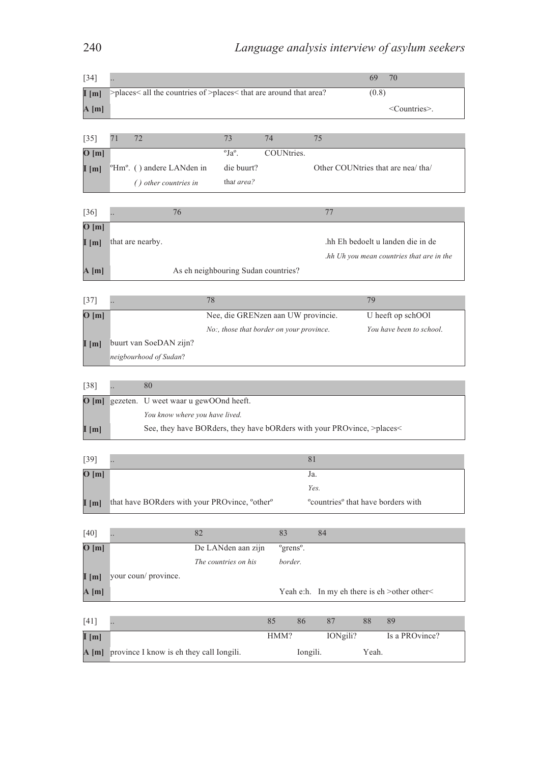| $[34]$             |    |                                                                        |                                          |                                    |                                   |      |                                                            | 69    | 70                                            |  |
|--------------------|----|------------------------------------------------------------------------|------------------------------------------|------------------------------------|-----------------------------------|------|------------------------------------------------------------|-------|-----------------------------------------------|--|
| $\mathbf{I}$ [m]   |    | >places< all the countries of >places< that are around that area?      |                                          |                                    |                                   |      |                                                            | (0.8) |                                               |  |
| A[m]               |    |                                                                        |                                          |                                    |                                   |      |                                                            |       | <countries>.</countries>                      |  |
|                    |    |                                                                        |                                          |                                    |                                   |      |                                                            |       |                                               |  |
| [35]               | 71 | 72                                                                     | 73                                       | 74                                 |                                   |      | 75                                                         |       |                                               |  |
| $O$ [m]            |    |                                                                        | °Ja°.                                    |                                    | COUNtries.                        |      |                                                            |       |                                               |  |
| $I$ [m]            |    | <sup>o</sup> Hm <sup>o</sup> . () andere LANden in                     |                                          | die buurt?                         |                                   |      |                                                            |       | Other COUNtries that are nea/ tha/            |  |
|                    |    | () other countries in                                                  |                                          | that area?                         |                                   |      |                                                            |       |                                               |  |
|                    |    |                                                                        |                                          |                                    |                                   |      |                                                            |       |                                               |  |
| $[36]$             |    | 76                                                                     |                                          |                                    |                                   |      | 77                                                         |       |                                               |  |
| O[m]               |    |                                                                        |                                          |                                    |                                   |      |                                                            |       |                                               |  |
| $\mathbf{I}$ [m]   |    | that are nearby.                                                       |                                          |                                    |                                   |      |                                                            |       | .hh Eh bedoelt u landen die in de             |  |
|                    |    |                                                                        |                                          |                                    |                                   |      |                                                            |       | .hh Uh you mean countries that are in the     |  |
| A[m]               |    |                                                                        | As eh neighbouring Sudan countries?      |                                    |                                   |      |                                                            |       |                                               |  |
|                    |    |                                                                        |                                          |                                    |                                   |      |                                                            |       |                                               |  |
| [37]               |    |                                                                        | 78                                       |                                    |                                   |      |                                                            | 79    |                                               |  |
| O[m]               |    |                                                                        |                                          | Nee, die GRENzen aan UW provincie. |                                   |      |                                                            |       | U heeft op schOOl                             |  |
|                    |    |                                                                        | No:, those that border on your province. |                                    |                                   |      |                                                            |       | You have been to school.                      |  |
| $I$ [m]            |    | buurt van SoeDAN zijn?                                                 |                                          |                                    |                                   |      |                                                            |       |                                               |  |
|                    |    | neigbourhood of Sudan?                                                 |                                          |                                    |                                   |      |                                                            |       |                                               |  |
|                    |    |                                                                        |                                          |                                    |                                   |      |                                                            |       |                                               |  |
| [38]               |    | 80                                                                     |                                          |                                    |                                   |      |                                                            |       |                                               |  |
| O[m]               |    | gezeten. U weet waar u gewOOnd heeft.                                  |                                          |                                    |                                   |      |                                                            |       |                                               |  |
|                    |    | You know where you have lived.                                         |                                          |                                    |                                   |      |                                                            |       |                                               |  |
| $\mathbf{I}$ [m]   |    | See, they have BORders, they have bORders with your PROvince, >places< |                                          |                                    |                                   |      |                                                            |       |                                               |  |
|                    |    |                                                                        |                                          |                                    |                                   |      |                                                            |       |                                               |  |
| [39]               |    |                                                                        |                                          |                                    |                                   | 81   |                                                            |       |                                               |  |
| $\overline{O}$ [m] |    |                                                                        |                                          |                                    |                                   | Ja.  |                                                            |       |                                               |  |
|                    |    |                                                                        |                                          |                                    |                                   | Yes. |                                                            |       |                                               |  |
| $\mathbf{I}$ [m]   |    | that have BORders with your PROvince, °other°                          |                                          |                                    |                                   |      | <sup>o</sup> countries <sup>o</sup> that have borders with |       |                                               |  |
|                    |    |                                                                        |                                          |                                    |                                   |      |                                                            |       |                                               |  |
| $[40]$             |    |                                                                        | 82                                       |                                    | 83                                |      | 84                                                         |       |                                               |  |
| $O$ [m]            |    |                                                                        | De LANden aan zijn                       |                                    | <sup>o</sup> grens <sup>o</sup> . |      |                                                            |       |                                               |  |
|                    |    |                                                                        | The countries on his                     |                                    | border.                           |      |                                                            |       |                                               |  |
| $I$ [m]            |    | your coun/ province.                                                   |                                          |                                    |                                   |      |                                                            |       |                                               |  |
| A[m]               |    |                                                                        |                                          |                                    |                                   |      |                                                            |       | Yeah e:h. In my eh there is eh > other other< |  |
|                    |    |                                                                        |                                          |                                    |                                   |      |                                                            |       |                                               |  |
| [41]               |    |                                                                        |                                          |                                    | 85                                | 86   | 87                                                         | 88    | 89                                            |  |
| Im1                |    |                                                                        |                                          |                                    | HMM?                              |      | IONgili?                                                   |       | Is a PROvince?                                |  |

| $\mathbf{I}$ [m] |                                                                | HMM?     | IONgili? | Is a PROvince? |
|------------------|----------------------------------------------------------------|----------|----------|----------------|
|                  | <b>A</b> [ <b>m</b> ] province I know is eh they call Iongili. | Iongili. |          | Yeah.          |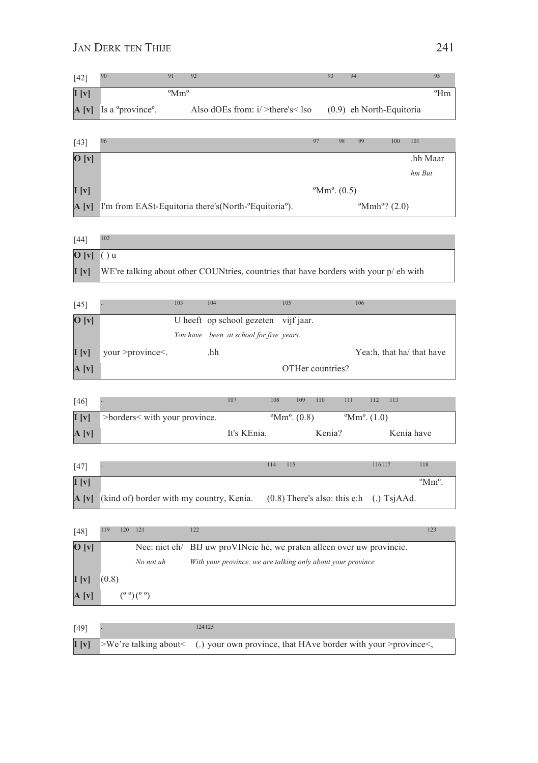| $[42]$                      | 90                                                                                    | 91<br>92                     |                                                             |                                    | 93                                 | 94                                  |                           | 95                             |
|-----------------------------|---------------------------------------------------------------------------------------|------------------------------|-------------------------------------------------------------|------------------------------------|------------------------------------|-------------------------------------|---------------------------|--------------------------------|
| I[v]                        |                                                                                       | <sup>o</sup> Mm <sup>o</sup> |                                                             |                                    |                                    |                                     |                           | <sup>o</sup> Hm                |
| A [v]                       | Is a <sup>o</sup> province <sup>o</sup> .                                             |                              | Also dOEs from: i/ >there's< lso                            |                                    |                                    | (0.9) eh North-Equitoria            |                           |                                |
|                             |                                                                                       |                              |                                                             |                                    |                                    |                                     |                           |                                |
| $[43]$                      | 96                                                                                    |                              |                                                             | 97                                 | 98                                 | 99                                  | 100<br>101                |                                |
| O[v]                        |                                                                                       |                              |                                                             |                                    |                                    |                                     |                           | hh Maar.                       |
|                             |                                                                                       |                              |                                                             |                                    |                                    |                                     | hm But                    |                                |
| $\mathbf{I}$ $[\mathbf{v}]$ |                                                                                       |                              |                                                             |                                    | $^{\circ}$ Mm <sup>o</sup> . (0.5) |                                     |                           |                                |
| A [v]                       | I'm from EASt-Equitoria there's(North-°Equitoria°).                                   |                              |                                                             |                                    |                                    | $^{\circ}$ Mmh <sup>o</sup> ? (2.0) |                           |                                |
|                             |                                                                                       |                              |                                                             |                                    |                                    |                                     |                           |                                |
| $[44]$                      | 102                                                                                   |                              |                                                             |                                    |                                    |                                     |                           |                                |
| O [v]                       | $()$ u                                                                                |                              |                                                             |                                    |                                    |                                     |                           |                                |
| $\mathbf{I}$ $[\mathbf{v}]$ | WE're talking about other COUNtries, countries that have borders with your p/ eh with |                              |                                                             |                                    |                                    |                                     |                           |                                |
|                             |                                                                                       |                              |                                                             |                                    |                                    |                                     |                           |                                |
| $[45]$                      |                                                                                       | 103                          | 104                                                         | 105                                |                                    | 106                                 |                           |                                |
| O[v]                        |                                                                                       |                              | U heeft op school gezeten                                   | vijf jaar.                         |                                    |                                     |                           |                                |
|                             |                                                                                       |                              | You have been at school for five years.                     |                                    |                                    |                                     |                           |                                |
| I[v]                        | your >province<.                                                                      |                              | .hh                                                         |                                    |                                    |                                     | Yea:h, that ha/ that have |                                |
| A [v]                       |                                                                                       |                              |                                                             | OTHer countries?                   |                                    |                                     |                           |                                |
|                             |                                                                                       |                              |                                                             |                                    |                                    |                                     |                           |                                |
| [46]                        |                                                                                       |                              | 107                                                         | 108<br>109                         | 110                                | 111<br>112                          | 113                       |                                |
| I[v]                        | >borders< with your province.                                                         |                              |                                                             | $^{\circ}$ Mm <sup>o</sup> . (0.8) |                                    | $^{\circ}$ Mm $^{\circ}$ . (1.0)    |                           |                                |
| A[v]                        |                                                                                       |                              | It's KEnia.                                                 |                                    | Kenia?                             |                                     | Kenia have                |                                |
|                             |                                                                                       |                              |                                                             |                                    |                                    |                                     |                           |                                |
|                             |                                                                                       |                              |                                                             |                                    |                                    |                                     |                           |                                |
| $[47]$                      |                                                                                       |                              |                                                             | 114<br>115                         |                                    | 116117                              |                           | 118                            |
| $\mathbf{I}$ [v]            |                                                                                       |                              |                                                             |                                    |                                    |                                     |                           | <sup>o</sup> Mm <sup>o</sup> . |
| A [v]                       | (kind of) border with my country, Kenia.                                              |                              |                                                             | $(0.8)$ There's also: this e:h     |                                    |                                     | $(.)$ TsjAAd.             |                                |
|                             |                                                                                       |                              |                                                             |                                    |                                    |                                     |                           |                                |
| $[48]$                      | 119<br>120<br>121                                                                     | 122                          |                                                             |                                    |                                    |                                     |                           | 123                            |
| O[v]                        | Nee: niet eh/                                                                         |                              | BIJ uw proVINcie hè, we praten alleen over uw provincie.    |                                    |                                    |                                     |                           |                                |
|                             | No not uh                                                                             |                              | With your province. we are talking only about your province |                                    |                                    |                                     |                           |                                |
| $\mathbf{I}$ $[\mathbf{v}]$ | (0.8)                                                                                 |                              |                                                             |                                    |                                    |                                     |                           |                                |
| A [v]                       | $(0, 0)$ $(0, 0)$                                                                     |                              |                                                             |                                    |                                    |                                     |                           |                                |
|                             |                                                                                       |                              |                                                             |                                    |                                    |                                     |                           |                                |
| $[49]$                      |                                                                                       |                              | 124125                                                      |                                    |                                    |                                     |                           |                                |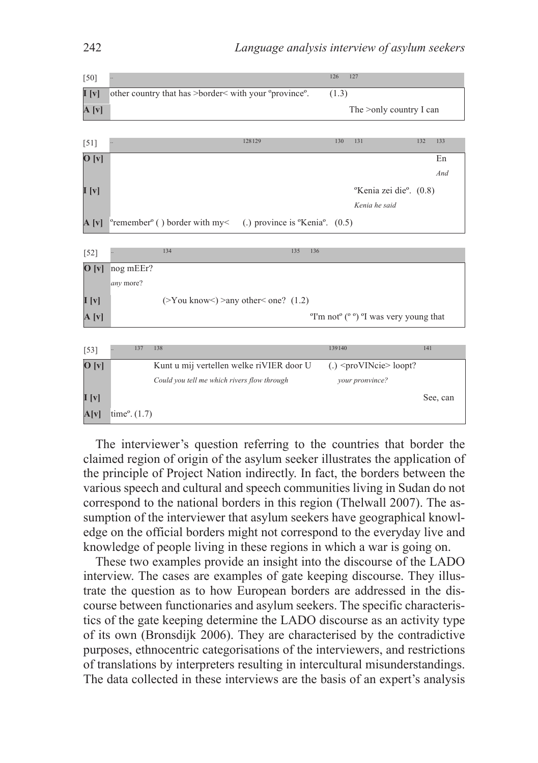| [50]                        |                    |                                                       |                                                         |            | 126    | 127                                                                                                |     |          |
|-----------------------------|--------------------|-------------------------------------------------------|---------------------------------------------------------|------------|--------|----------------------------------------------------------------------------------------------------|-----|----------|
| $\mathbf{I}$ $[\mathbf{v}]$ |                    | other country that has >border< with your "province". |                                                         |            | (1.3)  |                                                                                                    |     |          |
| $\mathbf{A}$ [v]            |                    |                                                       |                                                         |            |        | The >only country I can                                                                            |     |          |
|                             |                    |                                                       |                                                         |            |        |                                                                                                    |     |          |
| [51]                        |                    |                                                       | 128129                                                  |            | 130    | 131                                                                                                | 132 | 133      |
| 0 [v]                       |                    |                                                       |                                                         |            |        |                                                                                                    |     | En       |
|                             |                    |                                                       |                                                         |            |        |                                                                                                    |     | And      |
| $\mathbf{I}$ $[\mathbf{v}]$ |                    |                                                       |                                                         |            |        | <sup>o</sup> Kenia zei die <sup>o</sup> . (0.8)                                                    |     |          |
|                             |                    |                                                       |                                                         |            |        | Kenia he said                                                                                      |     |          |
| $\mathbf{A}$ [v]            |                    | $\degree$ remember $\degree$ ( ) border with my       | (.) province is ${}^{\circ}$ Kenia ${}^{\circ}$ . (0.5) |            |        |                                                                                                    |     |          |
|                             |                    |                                                       |                                                         |            |        |                                                                                                    |     |          |
| $[52]$                      |                    | 134                                                   |                                                         | 135<br>136 |        |                                                                                                    |     |          |
| 0  v                        | nog mEEr?          |                                                       |                                                         |            |        |                                                                                                    |     |          |
|                             | any more?          |                                                       |                                                         |            |        |                                                                                                    |     |          |
| I[V]                        |                    | $($ >You know<) >any other< one? $(1.2)$              |                                                         |            |        |                                                                                                    |     |          |
| A [v]                       |                    |                                                       |                                                         |            |        | <sup>o</sup> I'm not <sup>o</sup> ( <sup>o</sup> <sup>o</sup> ) <sup>o</sup> I was very young that |     |          |
|                             |                    |                                                       |                                                         |            |        |                                                                                                    |     |          |
| $[53]$                      | 137                | 138                                                   |                                                         |            | 139140 |                                                                                                    | 141 |          |
| O[v]                        |                    | Kunt u mij vertellen welke riVIER door U              |                                                         |            |        | $(.)$ <provincie> loopt?</provincie>                                                               |     |          |
|                             |                    | Could you tell me which rivers flow through           |                                                         |            |        | your pronvince?                                                                                    |     |          |
| I [v]                       |                    |                                                       |                                                         |            |        |                                                                                                    |     | See, can |
| A[v]                        | $time^o$ . $(1.7)$ |                                                       |                                                         |            |        |                                                                                                    |     |          |

The interviewer's question referring to the countries that border the claimed region of origin of the asylum seeker illustrates the application of the principle of Project Nation indirectly. In fact, the borders between the various speech and cultural and speech communities living in Sudan do not correspond to the national borders in this region (Thelwall 2007). The assumption of the interviewer that asylum seekers have geographical knowledge on the official borders might not correspond to the everyday live and knowledge of people living in these regions in which a war is going on.

These two examples provide an insight into the discourse of the LADO interview. The cases are examples of gate keeping discourse. They illustrate the question as to how European borders are addressed in the discourse between functionaries and asylum seekers. The specific characteristics of the gate keeping determine the LADO discourse as an activity type of its own (Bronsdijk 2006). They are characterised by the contradictive purposes, ethnocentric categorisations of the interviewers, and restrictions of translations by interpreters resulting in intercultural misunderstandings. The data collected in these interviews are the basis of an expert's analysis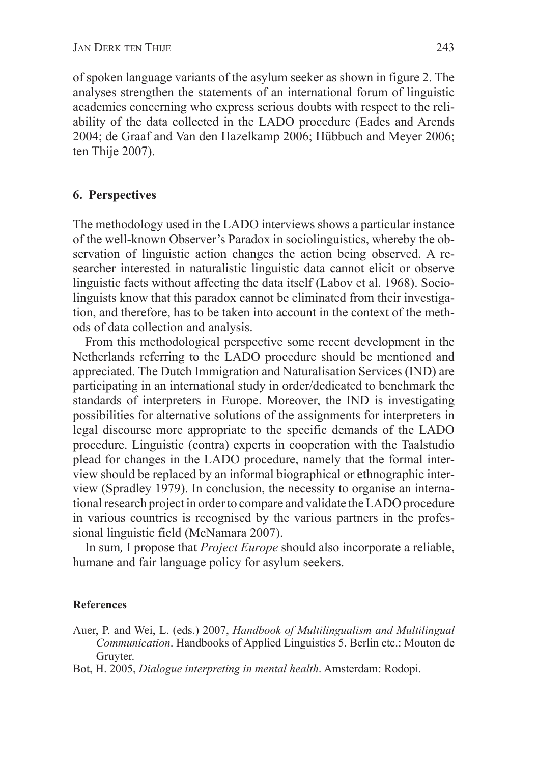of spoken language variants of the asylum seeker as shown in figure 2. The analyses strengthen the statements of an international forum of linguistic academics concerning who express serious doubts with respect to the reliability of the data collected in the LADO procedure (Eades and Arends 2004; de Graaf and Van den Hazelkamp 2006; Hübbuch and Meyer 2006; ten Thije 2007).

#### **6. Perspectives**

The methodology used in the LADO interviews shows a particular instance of the well-known Observer's Paradox in sociolinguistics, whereby the observation of linguistic action changes the action being observed. A researcher interested in naturalistic linguistic data cannot elicit or observe linguistic facts without affecting the data itself (Labov et al. 1968). Sociolinguists know that this paradox cannot be eliminated from their investigation, and therefore, has to be taken into account in the context of the methods of data collection and analysis.

From this methodological perspective some recent development in the Netherlands referring to the LADO procedure should be mentioned and appreciated. The Dutch Immigration and Naturalisation Services (IND) are participating in an international study in order/dedicated to benchmark the standards of interpreters in Europe. Moreover, the IND is investigating possibilities for alternative solutions of the assignments for interpreters in legal discourse more appropriate to the specific demands of the LADO procedure. Linguistic (contra) experts in cooperation with the Taalstudio plead for changes in the LADO procedure, namely that the formal interview should be replaced by an informal biographical or ethnographic interview (Spradley 1979). In conclusion, the necessity to organise an international research project in order to compare and validate the LADO procedure in various countries is recognised by the various partners in the professional linguistic field (McNamara 2007).

In sum*,* I propose that *Project Europe* should also incorporate a reliable, humane and fair language policy for asylum seekers.

#### **References**

- Auer, P. and Wei, L. (eds.) 2007, *Handbook of Multilingualism and Multilingual Communication*. Handbooks of Applied Linguistics 5. Berlin etc.: Mouton de Gruyter.
- Bot, H. 2005, *Dialogue interpreting in mental health*. Amsterdam: Rodopi.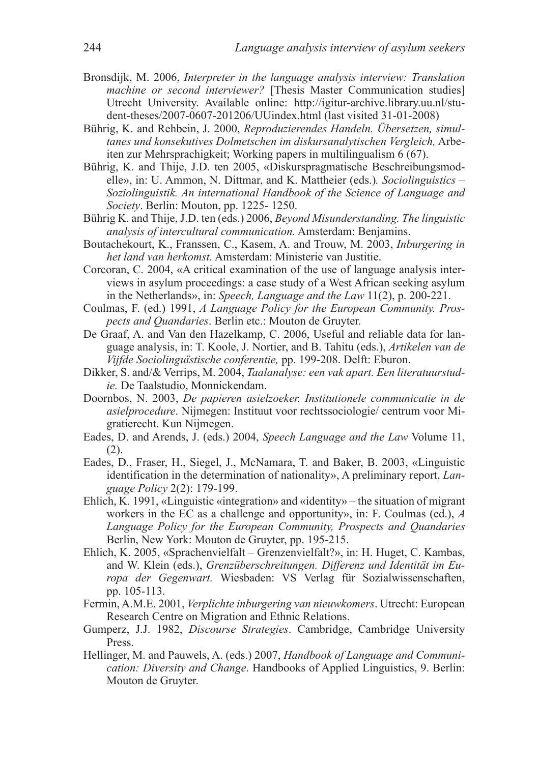- Bronsdijk, M. 2006, *Interpreter in the language analysis interview: Translation machine or second interviewer?* [Thesis Master Communication studies] Utrecht University. Available online: http://igitur-archive.library.uu.nl/student-theses/2007-0607-201206/UUindex.html (last visited 31-01-2008)
- Bührig, K. and Rehbein, J. 2000, *Reproduzierendes Handeln. Übersetzen, simultanes und konsekutives Dolmetschen im diskursanalytischen Vergleich,* Arbeiten zur Mehrsprachigkeit; Working papers in multilingualism 6 (67).
- Bührig, K. and Thije, J.D. ten 2005, «Diskurspragmatische Beschreibungsmodelle», in: U. Ammon, N. Dittmar, and K. Mattheier (eds.)*. Sociolinguistics – Soziolinguistik. An international Handbook of the Science of Language and Society*. Berlin: Mouton, pp. 1225- 1250.
- Bührig K. and Thije, J.D. ten (eds.) 2006, *Beyond Misunderstanding. The linguistic analysis of intercultural communication.* Amsterdam: Benjamins.
- Boutachekourt, K., Franssen, C., Kasem, A. and Trouw, M. 2003, *Inburgering in het land van herkomst.* Amsterdam: Ministerie van Justitie.
- Corcoran, C. 2004, «A critical examination of the use of language analysis interviews in asylum proceedings: a case study of a West African seeking asylum in the Netherlands», in: *Speech, Language and the Law* 11(2), p. 200-221.
- Coulmas, F. (ed.) 1991, *A Language Policy for the European Community. Prospects and Quandaries*. Berlin etc.: Mouton de Gruyter.
- De Graaf, A. and Van den Hazelkamp, C. 2006, Useful and reliable data for language analysis, in: T. Koole, J. Nortier, and B. Tahitu (eds.), *Artikelen van de Vijfde Sociolinguïstische conferentie,* pp. 199-208. Delft: Eburon.
- Dikker, S. and/& Verrips, M. 2004, *Taalanalyse: een vak apart. Een literatuurstudie.* De Taalstudio, Monnickendam.
- Doornbos, N. 2003, *De papieren asielzoeker. Institutionele communicatie in de asielprocedure*. Nijmegen: Instituut voor rechtssociologie/ centrum voor Migratierecht. Kun Nijmegen.
- Eades, D. and Arends, J. (eds.) 2004, *Speech Language and the Law* Volume 11, (2).
- Eades, D., Fraser, H., Siegel, J., McNamara, T. and Baker, B. 2003, «Linguistic identification in the determination of nationality», A preliminary report, *Language Policy* 2(2): 179-199.
- Ehlich, K. 1991, «Linguistic «integration» and «identity» the situation of migrant workers in the EC as a challenge and opportunity», in: F. Coulmas (ed.), *A Language Policy for the European Community, Prospects and Quandaries* Berlin, New York: Mouton de Gruyter, pp. 195-215.
- Ehlich, K. 2005, «Sprachenvielfalt Grenzenvielfalt?», in: H. Huget, C. Kambas, and W. Klein (eds.), *Grenzüberschreitungen. Differenz und Identität im Europa der Gegenwart.* Wiesbaden: VS Verlag für Sozialwissenschaften, pp. 105-113.
- Fermin, A.M.E. 2001, *Verplichte inburgering van nieuwkomers*. Utrecht: European Research Centre on Migration and Ethnic Relations.
- Gumperz, J.J. 1982, *Discourse Strategies*. Cambridge, Cambridge University Press.
- Hellinger, M. and Pauwels, A. (eds.) 2007, *Handbook of Language and Communication: Diversity and Change*. Handbooks of Applied Linguistics, 9. Berlin: Mouton de Gruyter.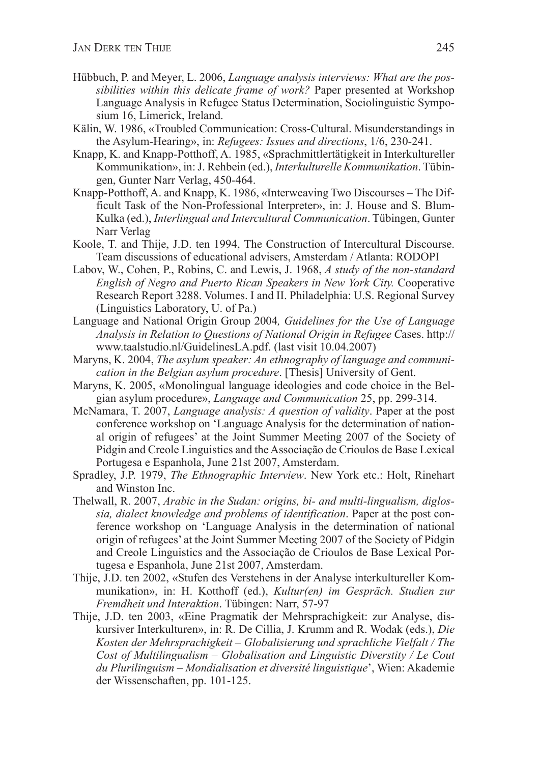- Hübbuch, P. and Meyer, L. 2006, *Language analysis interviews: What are the possibilities within this delicate frame of work?* Paper presented at Workshop Language Analysis in Refugee Status Determination, Sociolinguistic Symposium 16, Limerick, Ireland.
- Kälin, W. 1986, «Troubled Communication: Cross-Cultural. Misunderstandings in the Asylum-Hearing», in: *Refugees: Issues and directions*, 1/6, 230-241.
- Knapp, K. and Knapp-Potthoff, A. 1985, «Sprachmittlertätigkeit in Interkultureller Kommunikation», in: J. Rehbein (ed.), *Interkulturelle Kommunikation*. Tübingen, Gunter Narr Verlag, 450-464.
- Knapp-Potthoff, A. and Knapp, K. 1986, «Interweaving Two Discourses The Difficult Task of the Non-Professional Interpreter», in: J. House and S. Blum-Kulka (ed.), *Interlingual and Intercultural Communication*. Tübingen, Gunter Narr Verlag
- Koole, T. and Thije, J.D. ten 1994, The Construction of Intercultural Discourse. Team discussions of educational advisers, Amsterdam / Atlanta: RODOPI
- Labov, W., Cohen, P., Robins, C. and Lewis, J. 1968, *A study of the non-standard English of Negro and Puerto Rican Speakers in New York City.* Cooperative Research Report 3288. Volumes. I and II. Philadelphia: U.S. Regional Survey (Linguistics Laboratory, U. of Pa.)
- Language and National Origin Group 2004*, Guidelines for the Use of Language Analysis in Relation to Questions of National Origin in Refugee C*ases. http:// www.taalstudio.nl/GuidelinesLA.pdf. (last visit 10.04.2007)
- Maryns, K. 2004, *The asylum speaker: An ethnography of language and communication in the Belgian asylum procedure*. [Thesis] University of Gent.
- Maryns, K. 2005, «Monolingual language ideologies and code choice in the Belgian asylum procedure», *Language and Communication* 25, pp. 299-314.
- McNamara, T. 2007, *Language analysis: A question of validity*. Paper at the post conference workshop on 'Language Analysis for the determination of national origin of refugees' at the Joint Summer Meeting 2007 of the Society of Pidgin and Creole Linguistics and the Associação de Crioulos de Base Lexical Portugesa e Espanhola, June 21st 2007, Amsterdam.
- Spradley, J.P. 1979, *The Ethnographic Interview*. New York etc.: Holt, Rinehart and Winston Inc.
- Thelwall, R. 2007, *Arabic in the Sudan: origins, bi- and multi-lingualism, diglossia, dialect knowledge and problems of identification*. Paper at the post conference workshop on 'Language Analysis in the determination of national origin of refugees' at the Joint Summer Meeting 2007 of the Society of Pidgin and Creole Linguistics and the Associação de Crioulos de Base Lexical Portugesa e Espanhola, June 21st 2007, Amsterdam.
- Thije, J.D. ten 2002, «Stufen des Verstehens in der Analyse interkultureller Kommunikation», in: H. Kotthoff (ed.), *Kultur(en) im Gespräch. Studien zur Fremdheit und Interaktion*. Tübingen: Narr, 57-97
- Thije, J.D. ten 2003, «Eine Pragmatik der Mehrsprachigkeit: zur Analyse, diskursiver Interkulturen», in: R. De Cillia, J. Krumm and R. Wodak (eds.), *Die Kosten der Mehrsprachigkeit – Globalisierung und sprachliche Vielfalt / The Cost of Multilingualism – Globalisation and Linguistic Diverstity / Le Cout du Plurilinguism – Mondialisation et diversité linguistique*', Wien: Akademie der Wissenschaften, pp. 101-125.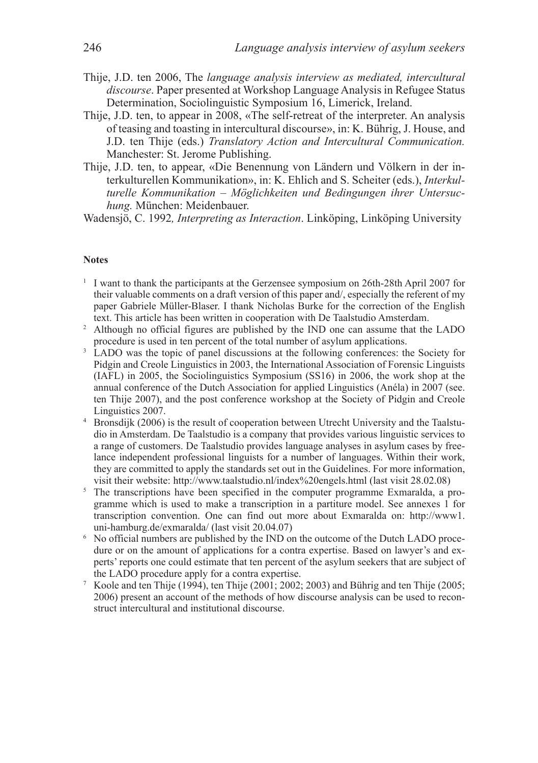- Thije, J.D. ten 2006, The *language analysis interview as mediated, intercultural discourse*. Paper presented at Workshop Language Analysis in Refugee Status Determination, Sociolinguistic Symposium 16, Limerick, Ireland.
- Thije, J.D. ten, to appear in 2008, «The self-retreat of the interpreter. An analysis of teasing and toasting in intercultural discourse», in: K. Bührig, J. House, and J.D. ten Thije (eds.) *Translatory Action and Intercultural Communication.* Manchester: St. Jerome Publishing.
- Thije, J.D. ten, to appear, «Die Benennung von Ländern und Völkern in der interkulturellen Kommunikation», in: K. Ehlich and S. Scheiter (eds.), *Interkulturelle Kommunikation – Möglichkeiten und Bedingungen ihrer Untersuchung.* München: Meidenbauer.

Wadensjö, C. 1992*, Interpreting as Interaction*. Linköping, Linköping University

#### **Notes**

- <sup>1</sup> I want to thank the participants at the Gerzensee symposium on 26th-28th April 2007 for their valuable comments on a draft version of this paper and/, especially the referent of my paper Gabriele Müller-Blaser. I thank Nicholas Burke for the correction of the English text. This article has been written in cooperation with De Taalstudio Amsterdam.
- <sup>2</sup> Although no official figures are published by the IND one can assume that the LADO procedure is used in ten percent of the total number of asylum applications.
- <sup>3</sup> LADO was the topic of panel discussions at the following conferences: the Society for Pidgin and Creole Linguistics in 2003, the International Association of Forensic Linguists (IAFL) in 2005, the Sociolinguistics Symposium (SS16) in 2006, the work shop at the annual conference of the Dutch Association for applied Linguistics (Anéla) in 2007 (see. ten Thije 2007), and the post conference workshop at the Society of Pidgin and Creole Linguistics 2007.
- <sup>4</sup> Bronsdijk (2006) is the result of cooperation between Utrecht University and the Taalstudio in Amsterdam. De Taalstudio is a company that provides various linguistic services to a range of customers. De Taalstudio provides language analyses in asylum cases by freelance independent professional linguists for a number of languages. Within their work, they are committed to apply the standards set out in the Guidelines. For more information, visit their website: http://www.taalstudio.nl/index%20engels.html (last visit 28.02.08)
- <sup>5</sup> The transcriptions have been specified in the computer programme Exmaralda, a programme which is used to make a transcription in a partiture model. See annexes 1 for transcription convention. One can find out more about Exmaralda on: http://www1. uni-hamburg.de/exmaralda/ (last visit 20.04.07)
- No official numbers are published by the IND on the outcome of the Dutch LADO procedure or on the amount of applications for a contra expertise. Based on lawyer's and experts' reports one could estimate that ten percent of the asylum seekers that are subject of the LADO procedure apply for a contra expertise.
- <sup>7</sup> Koole and ten Thije (1994), ten Thije (2001; 2002; 2003) and Bührig and ten Thije (2005; 2006) present an account of the methods of how discourse analysis can be used to reconstruct intercultural and institutional discourse.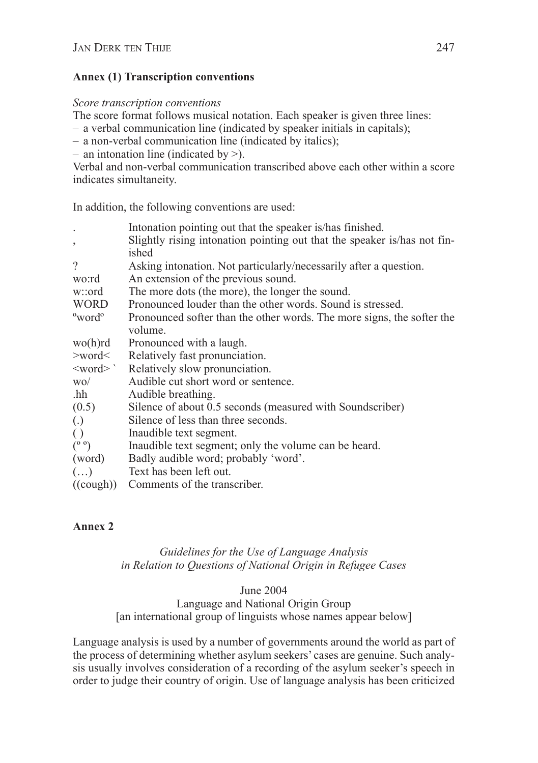#### **Annex (1) Transcription conventions**

#### *Score transcription conventions*

The score format follows musical notation. Each speaker is given three lines:

- a verbal communication line (indicated by speaker initials in capitals);
- a non-verbal communication line (indicated by italics);

– an intonation line (indicated by  $>$ ).

Verbal and non-verbal communication transcribed above each other within a score indicates simultaneity.

In addition, the following conventions are used:

|                                | Intonation pointing out that the speaker is/has finished.                |
|--------------------------------|--------------------------------------------------------------------------|
| $\,$                           | Slightly rising intonation pointing out that the speaker is/has not fin- |
|                                | ished                                                                    |
| $\gamma$                       | Asking intonation. Not particularly/necessarily after a question.        |
| wo:rd                          | An extension of the previous sound.                                      |
| w::ord                         | The more dots (the more), the longer the sound.                          |
| <b>WORD</b>                    | Pronounced louder than the other words. Sound is stressed.               |
| <sup>o</sup> word <sup>o</sup> | Pronounced softer than the other words. The more signs, the softer the   |
|                                | volume.                                                                  |
| wo(h)rd                        | Pronounced with a laugh.                                                 |
| $>$ word $<$                   | Relatively fast pronunciation.                                           |
| $\langle word \rangle$         | Relatively slow pronunciation.                                           |
| WQ                             | Audible cut short word or sentence.                                      |
| .hh                            | Audible breathing.                                                       |
| (0.5)                          | Silence of about 0.5 seconds (measured with Soundscriber)                |
| $\left( .\right)$              | Silence of less than three seconds.                                      |
| $\left( \right)$               | Inaudible text segment.                                                  |
| $\binom{0}{0}$                 | Inaudible text segment; only the volume can be heard.                    |
| (word)                         | Badly audible word; probably 'word'.                                     |
| $(\ldots)$                     | Text has been left out.                                                  |
| $((\text{cough}))$             | Comments of the transcriber.                                             |

# **Annex 2**

#### *Guidelines for the Use of Language Analysis in Relation to Questions of National Origin in Refugee Cases*

#### June 2004

Language and National Origin Group [an international group of linguists whose names appear below]

Language analysis is used by a number of governments around the world as part of the process of determining whether asylum seekers' cases are genuine. Such analysis usually involves consideration of a recording of the asylum seeker's speech in order to judge their country of origin. Use of language analysis has been criticized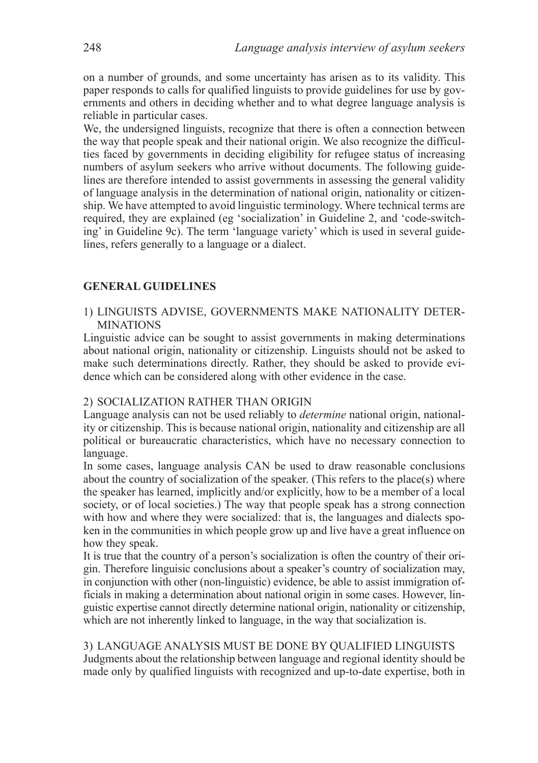on a number of grounds, and some uncertainty has arisen as to its validity. This paper responds to calls for qualified linguists to provide guidelines for use by governments and others in deciding whether and to what degree language analysis is reliable in particular cases.

We, the undersigned linguists, recognize that there is often a connection between the way that people speak and their national origin. We also recognize the difficulties faced by governments in deciding eligibility for refugee status of increasing numbers of asylum seekers who arrive without documents. The following guidelines are therefore intended to assist governments in assessing the general validity of language analysis in the determination of national origin, nationality or citizenship. We have attempted to avoid linguistic terminology. Where technical terms are required, they are explained (eg 'socialization' in Guideline 2, and 'code-switching' in Guideline 9c). The term 'language variety' which is used in several guidelines, refers generally to a language or a dialect.

#### **GENERAL GUIDELINES**

#### 1) LINGUISTS ADVISE, GOVERNMENTS MAKE NATIONALITY DETER-MINATIONS

Linguistic advice can be sought to assist governments in making determinations about national origin, nationality or citizenship. Linguists should not be asked to make such determinations directly. Rather, they should be asked to provide evidence which can be considered along with other evidence in the case.

#### 2) SOCIALIZATION RATHER THAN ORIGIN

Language analysis can not be used reliably to *determine* national origin, nationality or citizenship. This is because national origin, nationality and citizenship are all political or bureaucratic characteristics, which have no necessary connection to language.

In some cases, language analysis CAN be used to draw reasonable conclusions about the country of socialization of the speaker. (This refers to the place(s) where the speaker has learned, implicitly and/or explicitly, how to be a member of a local society, or of local societies.) The way that people speak has a strong connection with how and where they were socialized: that is, the languages and dialects spoken in the communities in which people grow up and live have a great influence on how they speak.

It is true that the country of a person's socialization is often the country of their origin. Therefore linguisic conclusions about a speaker's country of socialization may, in conjunction with other (non-linguistic) evidence, be able to assist immigration officials in making a determination about national origin in some cases. However, linguistic expertise cannot directly determine national origin, nationality or citizenship, which are not inherently linked to language, in the way that socialization is.

#### 3) LANGUAGE ANALYSIS MUST BE DONE BY QUALIFIED LINGUISTS Judgments about the relationship between language and regional identity should be made only by qualified linguists with recognized and up-to-date expertise, both in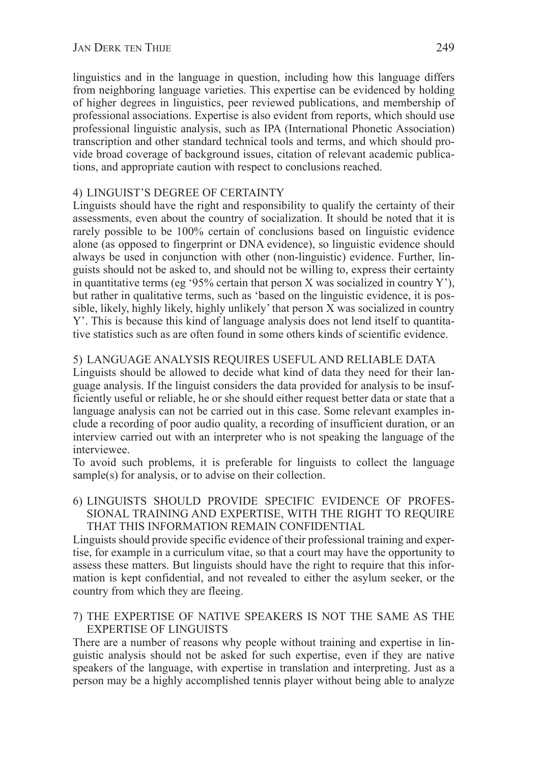linguistics and in the language in question, including how this language differs from neighboring language varieties. This expertise can be evidenced by holding of higher degrees in linguistics, peer reviewed publications, and membership of professional associations. Expertise is also evident from reports, which should use professional linguistic analysis, such as IPA (International Phonetic Association) transcription and other standard technical tools and terms, and which should provide broad coverage of background issues, citation of relevant academic publications, and appropriate caution with respect to conclusions reached.

## 4) LINGUIST'S DEGREE OF CERTAINTY

Linguists should have the right and responsibility to qualify the certainty of their assessments, even about the country of socialization. It should be noted that it is rarely possible to be 100% certain of conclusions based on linguistic evidence alone (as opposed to fingerprint or DNA evidence), so linguistic evidence should always be used in conjunction with other (non-linguistic) evidence. Further, linguists should not be asked to, and should not be willing to, express their certainty in quantitative terms (eg '95% certain that person  $X$  was socialized in country  $Y'$ ), but rather in qualitative terms, such as 'based on the linguistic evidence, it is possible, likely, highly likely, highly unlikely' that person X was socialized in country Y'. This is because this kind of language analysis does not lend itself to quantitative statistics such as are often found in some others kinds of scientific evidence.

## 5) LANGUAGE ANALYSIS REQUIRES USEFUL AND RELIABLE DATA

Linguists should be allowed to decide what kind of data they need for their language analysis. If the linguist considers the data provided for analysis to be insufficiently useful or reliable, he or she should either request better data or state that a language analysis can not be carried out in this case. Some relevant examples include a recording of poor audio quality, a recording of insufficient duration, or an interview carried out with an interpreter who is not speaking the language of the interviewee.

To avoid such problems, it is preferable for linguists to collect the language sample(s) for analysis, or to advise on their collection.

6) LINGUISTS SHOULD PROVIDE SPECIFIC EVIDENCE OF PROFES-SIONAL TRAINING AND EXPERTISE, WITH THE RIGHT TO REQUIRE THAT THIS INFORMATION REMAIN CONFIDENTIAL

Linguists should provide specific evidence of their professional training and expertise, for example in a curriculum vitae, so that a court may have the opportunity to assess these matters. But linguists should have the right to require that this information is kept confidential, and not revealed to either the asylum seeker, or the country from which they are fleeing.

#### 7) THE EXPERTISE OF NATIVE SPEAKERS IS NOT THE SAME AS THE EXPERTISE OF LINGUISTS

There are a number of reasons why people without training and expertise in linguistic analysis should not be asked for such expertise, even if they are native speakers of the language, with expertise in translation and interpreting. Just as a person may be a highly accomplished tennis player without being able to analyze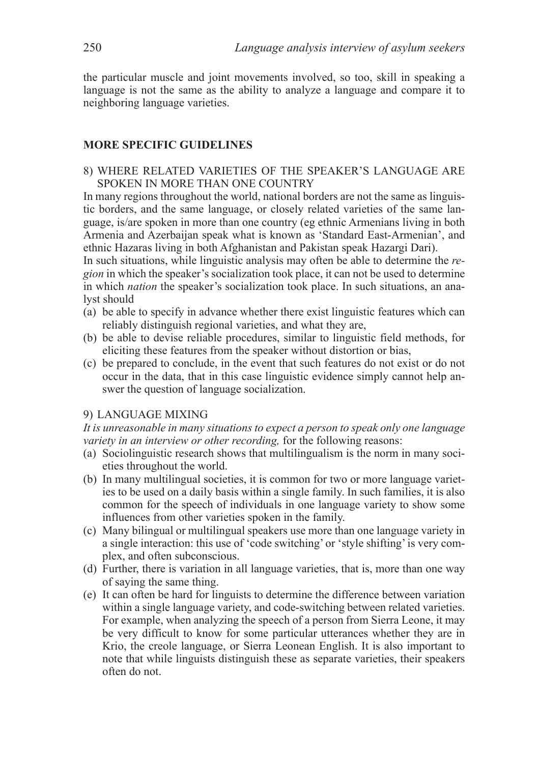the particular muscle and joint movements involved, so too, skill in speaking a language is not the same as the ability to analyze a language and compare it to neighboring language varieties.

#### **MORE SPECIFIC GUIDELINES**

#### 8) WHERE RELATED VARIETIES OF THE SPEAKER'S LANGUAGE ARE SPOKEN IN MORE THAN ONE COUNTRY

In many regions throughout the world, national borders are not the same as linguistic borders, and the same language, or closely related varieties of the same language, is/are spoken in more than one country (eg ethnic Armenians living in both Armenia and Azerbaijan speak what is known as 'Standard East-Armenian', and ethnic Hazaras living in both Afghanistan and Pakistan speak Hazargi Dari).

In such situations, while linguistic analysis may often be able to determine the *region* in which the speaker's socialization took place, it can not be used to determine in which *nation* the speaker's socialization took place. In such situations, an analyst should

- (a) be able to specify in advance whether there exist linguistic features which can reliably distinguish regional varieties, and what they are,
- (b) be able to devise reliable procedures, similar to linguistic field methods, for eliciting these features from the speaker without distortion or bias,
- (c) be prepared to conclude, in the event that such features do not exist or do not occur in the data, that in this case linguistic evidence simply cannot help answer the question of language socialization.

#### 9) LANGUAGE MIXING

*It is unreasonable in many situations to expect a person to speak only one language variety in an interview or other recording, for the following reasons:* 

- (a) Sociolinguistic research shows that multilingualism is the norm in many societies throughout the world.
- (b) In many multilingual societies, it is common for two or more language varieties to be used on a daily basis within a single family. In such families, it is also common for the speech of individuals in one language variety to show some influences from other varieties spoken in the family.
- (c) Many bilingual or multilingual speakers use more than one language variety in a single interaction: this use of 'code switching' or 'style shifting' is very complex, and often subconscious.
- (d) Further, there is variation in all language varieties, that is, more than one way of saying the same thing.
- (e) It can often be hard for linguists to determine the difference between variation within a single language variety, and code-switching between related varieties. For example, when analyzing the speech of a person from Sierra Leone, it may be very difficult to know for some particular utterances whether they are in Krio, the creole language, or Sierra Leonean English. It is also important to note that while linguists distinguish these as separate varieties, their speakers often do not.